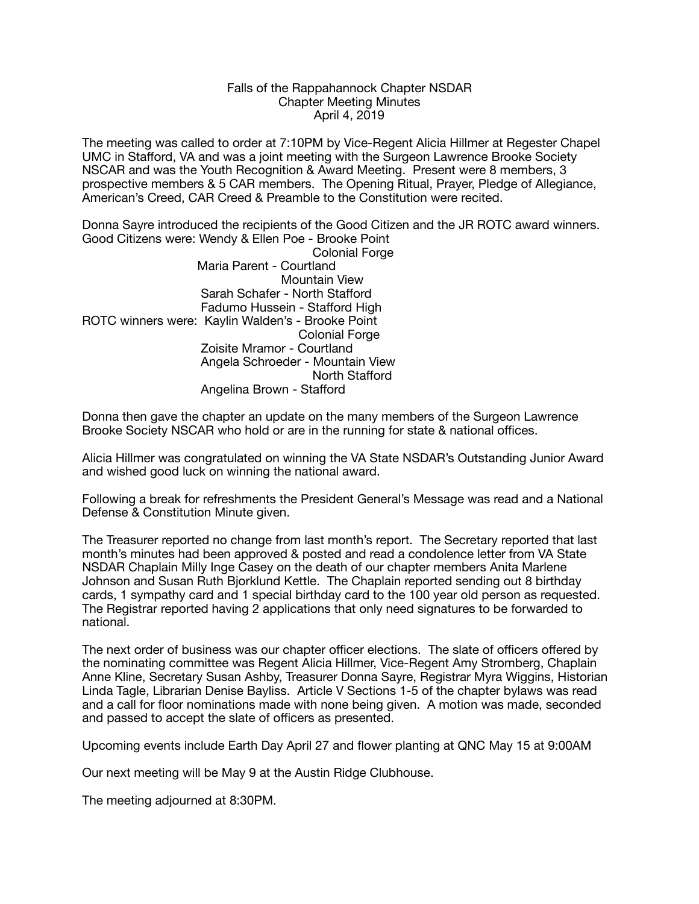## Falls of the Rappahannock Chapter NSDAR Chapter Meeting Minutes April 4, 2019

The meeting was called to order at 7:10PM by Vice-Regent Alicia Hillmer at Regester Chapel UMC in Stafford, VA and was a joint meeting with the Surgeon Lawrence Brooke Society NSCAR and was the Youth Recognition & Award Meeting. Present were 8 members, 3 prospective members & 5 CAR members. The Opening Ritual, Prayer, Pledge of Allegiance, American's Creed, CAR Creed & Preamble to the Constitution were recited.

Donna Sayre introduced the recipients of the Good Citizen and the JR ROTC award winners. Good Citizens were: Wendy & Ellen Poe - Brooke Point

Colonial Forge Maria Parent - Courtland Mountain View Sarah Schafer - North Stafford Fadumo Hussein - Stafford High ROTC winners were: Kaylin Walden's - Brooke Point Colonial Forge Zoisite Mramor - Courtland Angela Schroeder - Mountain View North Stafford Angelina Brown - Stafford

Donna then gave the chapter an update on the many members of the Surgeon Lawrence Brooke Society NSCAR who hold or are in the running for state & national offices.

Alicia Hillmer was congratulated on winning the VA State NSDAR's Outstanding Junior Award and wished good luck on winning the national award.

Following a break for refreshments the President General's Message was read and a National Defense & Constitution Minute given.

The Treasurer reported no change from last month's report. The Secretary reported that last month's minutes had been approved & posted and read a condolence letter from VA State NSDAR Chaplain Milly Inge Casey on the death of our chapter members Anita Marlene Johnson and Susan Ruth Bjorklund Kettle. The Chaplain reported sending out 8 birthday cards, 1 sympathy card and 1 special birthday card to the 100 year old person as requested. The Registrar reported having 2 applications that only need signatures to be forwarded to national.

The next order of business was our chapter officer elections. The slate of officers offered by the nominating committee was Regent Alicia Hillmer, Vice-Regent Amy Stromberg, Chaplain Anne Kline, Secretary Susan Ashby, Treasurer Donna Sayre, Registrar Myra Wiggins, Historian Linda Tagle, Librarian Denise Bayliss. Article V Sections 1-5 of the chapter bylaws was read and a call for floor nominations made with none being given. A motion was made, seconded and passed to accept the slate of officers as presented.

Upcoming events include Earth Day April 27 and flower planting at QNC May 15 at 9:00AM

Our next meeting will be May 9 at the Austin Ridge Clubhouse.

The meeting adjourned at 8:30PM.